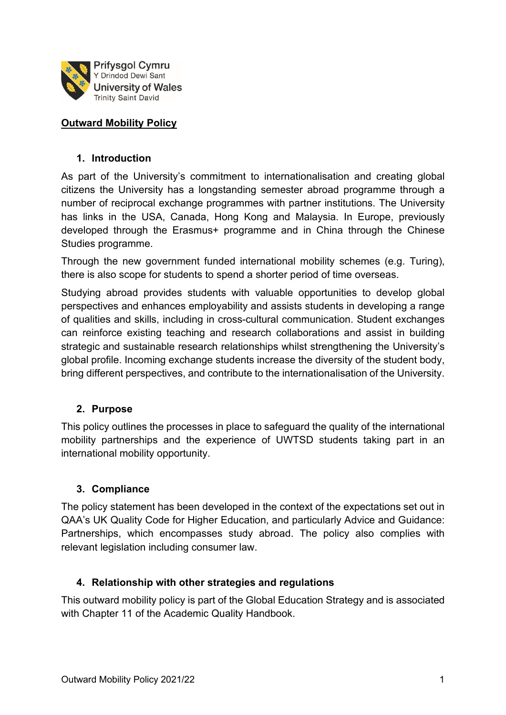

#### **Outward Mobility Policy**

#### **1. Introduction**

As part of the University's commitment to internationalisation and creating global citizens the University has a longstanding semester abroad programme through a number of reciprocal exchange programmes with partner institutions. The University has links in the USA, Canada, Hong Kong and Malaysia. In Europe, previously developed through the Erasmus+ programme and in China through the Chinese Studies programme.

Through the new government funded international mobility schemes (e.g. Turing), there is also scope for students to spend a shorter period of time overseas.

Studying abroad provides students with valuable opportunities to develop global perspectives and enhances employability and assists students in developing a range of qualities and skills, including in cross-cultural communication. Student exchanges can reinforce existing teaching and research collaborations and assist in building strategic and sustainable research relationships whilst strengthening the University's global profile. Incoming exchange students increase the diversity of the student body, bring different perspectives, and contribute to the internationalisation of the University.

#### **2. Purpose**

This policy outlines the processes in place to safeguard the quality of the international mobility partnerships and the experience of UWTSD students taking part in an international mobility opportunity.

## **3. Compliance**

The policy statement has been developed in the context of the expectations set out in QAA's UK Quality Code for Higher Education, and particularly Advice and Guidance: Partnerships, which encompasses study abroad. The policy also complies with relevant legislation including consumer law.

#### **4. Relationship with other strategies and regulations**

This outward mobility policy is part of the Global Education Strategy and is associated with Chapter 11 of the Academic Quality Handbook.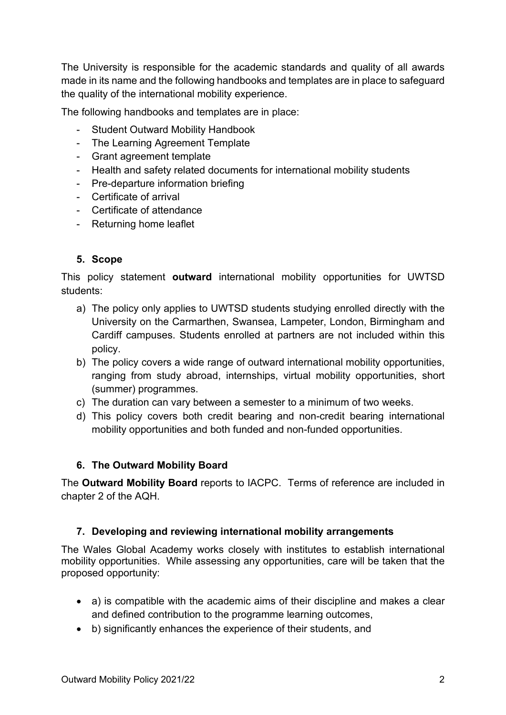The University is responsible for the academic standards and quality of all awards made in its name and the following handbooks and templates are in place to safeguard the quality of the international mobility experience.

The following handbooks and templates are in place:

- Student Outward Mobility Handbook
- The Learning Agreement Template
- Grant agreement template
- Health and safety related documents for international mobility students
- Pre-departure information briefing
- Certificate of arrival
- Certificate of attendance
- Returning home leaflet

## **5. Scope**

This policy statement **outward** international mobility opportunities for UWTSD students:

- a) The policy only applies to UWTSD students studying enrolled directly with the University on the Carmarthen, Swansea, Lampeter, London, Birmingham and Cardiff campuses. Students enrolled at partners are not included within this policy.
- b) The policy covers a wide range of outward international mobility opportunities, ranging from study abroad, internships, virtual mobility opportunities, short (summer) programmes.
- c) The duration can vary between a semester to a minimum of two weeks.
- d) This policy covers both credit bearing and non-credit bearing international mobility opportunities and both funded and non-funded opportunities.

# **6. The Outward Mobility Board**

The **Outward Mobility Board** reports to IACPC. Terms of reference are included in chapter 2 of the AQH.

## **7. Developing and reviewing international mobility arrangements**

The Wales Global Academy works closely with institutes to establish international mobility opportunities. While assessing any opportunities, care will be taken that the proposed opportunity:

- a) is compatible with the academic aims of their discipline and makes a clear and defined contribution to the programme learning outcomes,
- b) significantly enhances the experience of their students, and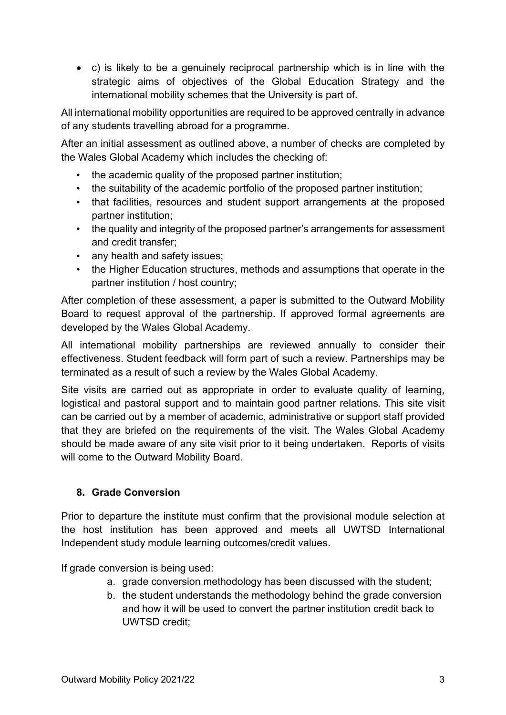• c) is likely to be a genuinely reciprocal partnership which is in line with the strategic aims of objectives of the Global Education Strategy and the international mobility schemes that the University is part of.

All international mobility opportunities are required to be approved centrally in advance of any students travelling abroad for a programme.

After an initial assessment as outlined above, a number of checks are completed by the Wales Global Academy which includes the checking of:

- the academic quality of the proposed partner institution;
- the suitability of the academic portfolio of the proposed partner institution;
- that facilities, resources and student support arrangements at the proposed partner institution;
- the quality and integrity of the proposed partner's arrangements for assessment and credit transfer;
- any health and safety issues:
- the Higher Education structures, methods and assumptions that operate in the partner institution / host country;

After completion of these assessment, a paper is submitted to the Outward Mobility Board to request approval of the partnership. If approved formal agreements are developed by the Wales Global Academy.

All international mobility partnerships are reviewed annually to consider their effectiveness. Student feedback will form part of such a review. Partnerships may be terminated as a result of such a review by the Wales Global Academy.

Site visits are carried out as appropriate in order to evaluate quality of learning, logistical and pastoral support and to maintain good partner relations. This site visit can be carried out by a member of academic, administrative or support staff provided that they are briefed on the requirements of the visit. The Wales Global Academy should be made aware of any site visit prior to it being undertaken. Reports of visits will come to the Outward Mobility Board.

# **8. Grade Conversion**

Prior to departure the institute must confirm that the provisional module selection at the host institution has been approved and meets all UWTSD International Independent study module learning outcomes/credit values.

If grade conversion is being used:

- a. grade conversion methodology has been discussed with the student;
- b. the student understands the methodology behind the grade conversion and how it will be used to convert the partner institution credit back to UWTSD credit;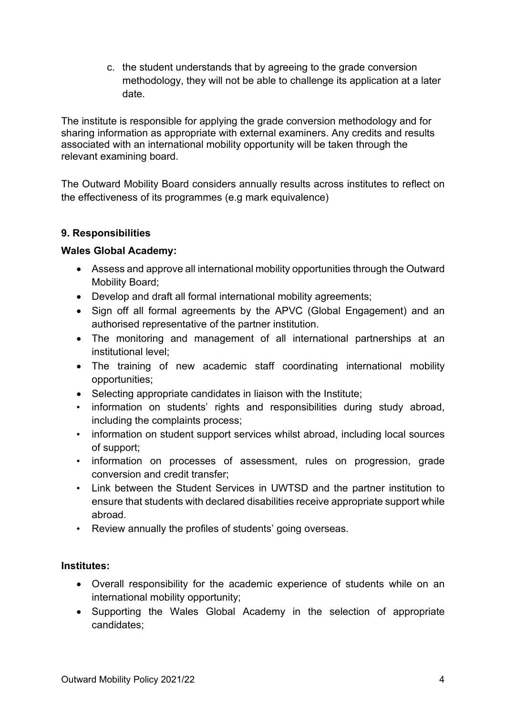c. the student understands that by agreeing to the grade conversion methodology, they will not be able to challenge its application at a later date.

The institute is responsible for applying the grade conversion methodology and for sharing information as appropriate with external examiners. Any credits and results associated with an international mobility opportunity will be taken through the relevant examining board.

The Outward Mobility Board considers annually results across institutes to reflect on the effectiveness of its programmes (e.g mark equivalence)

## **9. Responsibilities**

#### **Wales Global Academy:**

- Assess and approve all international mobility opportunities through the Outward Mobility Board;
- Develop and draft all formal international mobility agreements;
- Sign off all formal agreements by the APVC (Global Engagement) and an authorised representative of the partner institution.
- The monitoring and management of all international partnerships at an institutional level;
- The training of new academic staff coordinating international mobility opportunities;
- Selecting appropriate candidates in liaison with the Institute;
- information on students' rights and responsibilities during study abroad, including the complaints process;
- information on student support services whilst abroad, including local sources of support;
- information on processes of assessment, rules on progression, grade conversion and credit transfer;
- Link between the Student Services in UWTSD and the partner institution to ensure that students with declared disabilities receive appropriate support while abroad.
- Review annually the profiles of students' going overseas.

## **Institutes:**

- Overall responsibility for the academic experience of students while on an international mobility opportunity;
- Supporting the Wales Global Academy in the selection of appropriate candidates;